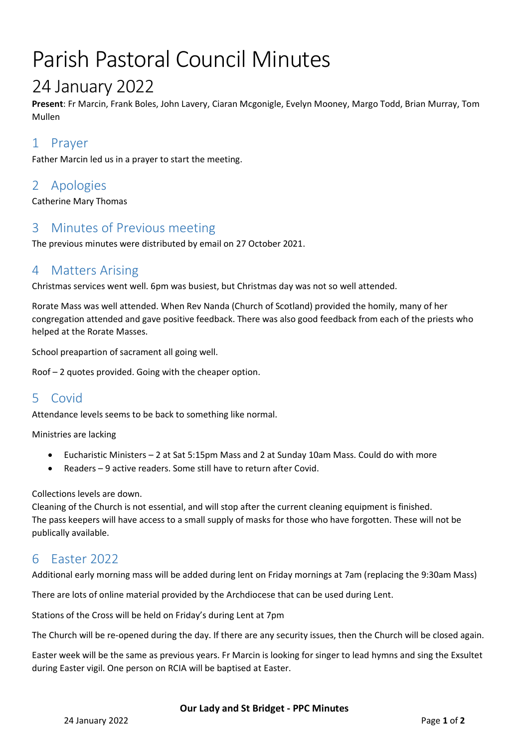# Parish Pastoral Council Minutes

## 24 January 2022

**Present**: Fr Marcin, Frank Boles, John Lavery, Ciaran Mcgonigle, Evelyn Mooney, Margo Todd, Brian Murray, Tom Mullen

## 1 Prayer

Father Marcin led us in a prayer to start the meeting.

## 2 Apologies

Catherine Mary Thomas

## 3 Minutes of Previous meeting

The previous minutes were distributed by email on 27 October 2021.

## 4 Matters Arising

Christmas services went well. 6pm was busiest, but Christmas day was not so well attended.

Rorate Mass was well attended. When Rev Nanda (Church of Scotland) provided the homily, many of her congregation attended and gave positive feedback. There was also good feedback from each of the priests who helped at the Rorate Masses.

School preapartion of sacrament all going well.

Roof – 2 quotes provided. Going with the cheaper option.

## 5 Covid

Attendance levels seems to be back to something like normal.

Ministries are lacking

- Eucharistic Ministers 2 at Sat 5:15pm Mass and 2 at Sunday 10am Mass. Could do with more
- Readers 9 active readers. Some still have to return after Covid.

#### Collections levels are down.

Cleaning of the Church is not essential, and will stop after the current cleaning equipment is finished. The pass keepers will have access to a small supply of masks for those who have forgotten. These will not be publically available.

## 6 Easter 2022

Additional early morning mass will be added during lent on Friday mornings at 7am (replacing the 9:30am Mass)

There are lots of online material provided by the Archdiocese that can be used during Lent.

Stations of the Cross will be held on Friday's during Lent at 7pm

The Church will be re-opened during the day. If there are any security issues, then the Church will be closed again.

Easter week will be the same as previous years. Fr Marcin is looking for singer to lead hymns and sing the Exsultet during Easter vigil. One person on RCIA will be baptised at Easter.